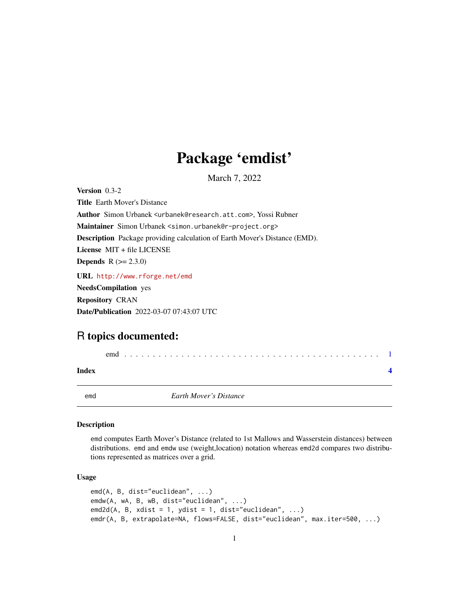# Package 'emdist'

March 7, 2022

<span id="page-0-0"></span>Version 0.3-2 Title Earth Mover's Distance Author Simon Urbanek <urbanek@research.att.com>, Yossi Rubner Maintainer Simon Urbanek <simon.urbanek@r-project.org> Description Package providing calculation of Earth Mover's Distance (EMD). License MIT + file LICENSE **Depends** R  $(>= 2.3.0)$ URL <http://www.rforge.net/emd> NeedsCompilation yes Repository CRAN Date/Publication 2022-03-07 07:43:07 UTC

## R topics documented:

|       | emd                           |  |
|-------|-------------------------------|--|
| Index |                               |  |
| emd   | <b>Earth Mover's Distance</b> |  |

#### Description

emd computes Earth Mover's Distance (related to 1st Mallows and Wasserstein distances) between distributions. emd and emdw use (weight,location) notation whereas emd2d compares two distributions represented as matrices over a grid.

#### Usage

```
emd(A, B, dist="euclidean", ...)
emdw(A, wA, B, wB, dist="euclidean", ...)
emd2d(A, B, xdist = 1, ydist = 1, dist="euclidean", ...)
emdr(A, B, extrapolate=NA, flows=FALSE, dist="euclidean", max.iter=500, ...)
```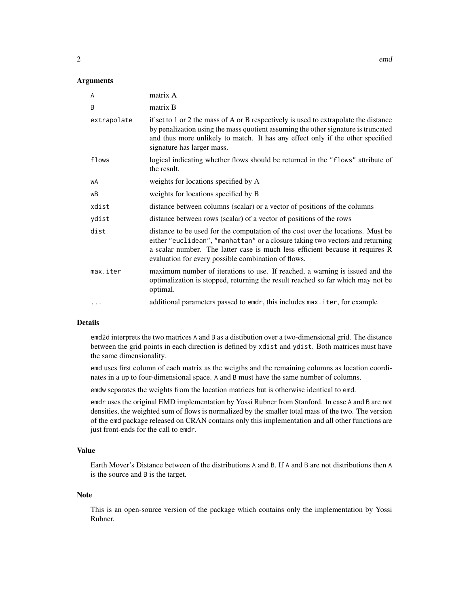#### Arguments

| matrix A                                                                                                                                                                                                                                                                                                 |
|----------------------------------------------------------------------------------------------------------------------------------------------------------------------------------------------------------------------------------------------------------------------------------------------------------|
| matrix B                                                                                                                                                                                                                                                                                                 |
| if set to 1 or 2 the mass of A or B respectively is used to extrapolate the distance<br>by penalization using the mass quotient assuming the other signature is truncated<br>and thus more unlikely to match. It has any effect only if the other specified<br>signature has larger mass.                |
| logical indicating whether flows should be returned in the "flows" attribute of<br>the result.                                                                                                                                                                                                           |
| weights for locations specified by A                                                                                                                                                                                                                                                                     |
| weights for locations specified by B                                                                                                                                                                                                                                                                     |
| distance between columns (scalar) or a vector of positions of the columns                                                                                                                                                                                                                                |
| distance between rows (scalar) of a vector of positions of the rows                                                                                                                                                                                                                                      |
| distance to be used for the computation of the cost over the locations. Must be<br>either "euclidean", "manhattan" or a closure taking two vectors and returning<br>a scalar number. The latter case is much less efficient because it requires R<br>evaluation for every possible combination of flows. |
| maximum number of iterations to use. If reached, a warning is issued and the<br>optimalization is stopped, returning the result reached so far which may not be<br>optimal.                                                                                                                              |
| additional parameters passed to emdr, this includes max. iter, for example                                                                                                                                                                                                                               |
|                                                                                                                                                                                                                                                                                                          |

#### Details

emd2d interprets the two matrices A and B as a distibution over a two-dimensional grid. The distance between the grid points in each direction is defined by xdist and ydist. Both matrices must have the same dimensionality.

emd uses first column of each matrix as the weigths and the remaining columns as location coordinates in a up to four-dimensional space. A and B must have the same number of columns.

emdw separates the weights from the location matrices but is otherwise identical to emd.

emdr uses the original EMD implementation by Yossi Rubner from Stanford. In case A and B are not densities, the weighted sum of flows is normalized by the smaller total mass of the two. The version of the emd package released on CRAN contains only this implementation and all other functions are just front-ends for the call to emdr.

#### Value

Earth Mover's Distance between of the distributions A and B. If A and B are not distributions then A is the source and B is the target.

#### Note

This is an open-source version of the package which contains only the implementation by Yossi Rubner.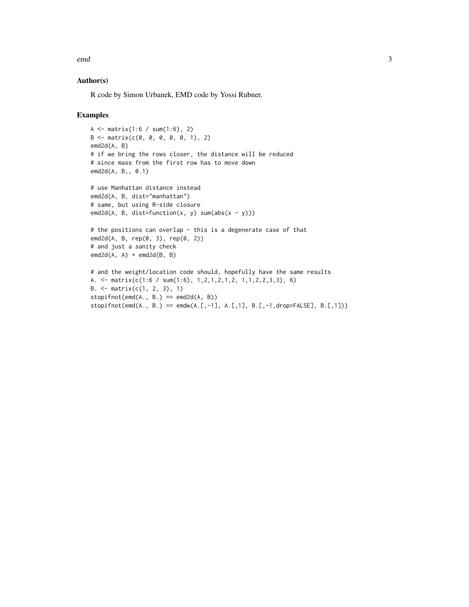emd 3

#### Author(s)

R code by Simon Urbanek, EMD code by Yossi Rubner.

#### Examples

```
A \le matrix(1:6 / sum(1:6), 2)
B \le - matrix(c(0, 0, 0, 0, 0, 1), 2)
emd2d(A, B)
# if we bring the rows closer, the distance will be reduced
# since mass from the first row has to move down
emd2d(A, B,, 0.1)
# use Manhattan distance instead
emd2d(A, B, dist="manhattan")
# same, but using R-side closure
emd2d(A, B, dist=function(x, y) sum(abs(x - y)))
# the positions can overlap - this is a degenerate case of that
emd2d(A, B, rep(0, 3), rep(0, 2))
# and just a sanity check
\text{emd2d}(A, A) + \text{emd2d}(B, B)# and the weight/location code should, hopefully have the same results
A. <- matrix(c(1:6 / sum(1:6), 1,2,1,2,1,2, 1,1,2,2,3,3), 6)
B. \leq matrix(c(1, 2, 3), 1)
stopifnot(emd(A., B.) == emd2d(A, B))stopifnot(emd(A., B.) == emdw(A.[,-1], A.[,1], B.[,-1,drop=FALSE], B.[,1]))
```